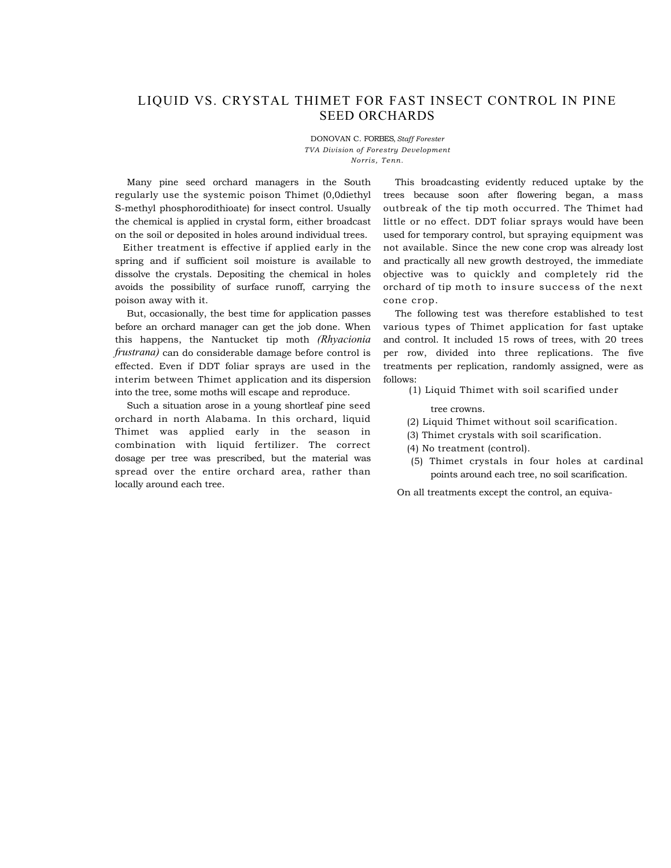## LIQUID VS. CRYSTAL THIMET FOR FAST INSECT CONTROL IN PINE SEED ORCHARDS

DONOVAN C. FORBES, *Staff Forester TVA Division of Forestry Development Norris, Tenn.* 

Many pine seed orchard managers in the South regularly use the systemic poison Thimet (0,0diethyl S-methyl phosphorodithioate) for insect control. Usually the chemical is applied in crystal form, either broadcast on the soil or deposited in holes around individual trees.

Either treatment is effective if applied early in the spring and if sufficient soil moisture is available to dissolve the crystals. Depositing the chemical in holes avoids the possibility of surface runoff, carrying the poison away with it.

But, occasionally, the best time for application passes before an orchard manager can get the job done. When this happens, the Nantucket tip moth *(Rhyacionia frustrana)* can do considerable damage before control is effected. Even if DDT foliar sprays are used in the interim between Thimet application and its dispersion into the tree, some moths will escape and reproduce.

Such a situation arose in a young shortleaf pine seed orchard in north Alabama. In this orchard, liquid Thimet was applied early in the season in combination with liquid fertilizer. The correct dosage per tree was prescribed, but the material was spread over the entire orchard area, rather than locally around each tree.

This broadcasting evidently reduced uptake by the trees because soon after flowering began, a mass outbreak of the tip moth occurred. The Thimet had little or no effect. DDT foliar sprays would have been used for temporary control, but spraying equipment was not available. Since the new cone crop was already lost and practically all new growth destroyed, the immediate objective was to quickly and completely rid the orchard of tip moth to insure success of the next cone crop.

The following test was therefore established to test various types of Thimet application for fast uptake and control. It included 15 rows of trees, with 20 trees per row, divided into three replications. The five treatments per replication, randomly assigned, were as follows:

(1) Liquid Thimet with soil scarified under

tree crowns.

- (2) Liquid Thimet without soil scarification.
- (3) Thimet crystals with soil scarification.
- (4) No treatment (control).
- (5) Thimet crystals in four holes at cardinal points around each tree, no soil scarification.

On all treatments except the control, an equiva-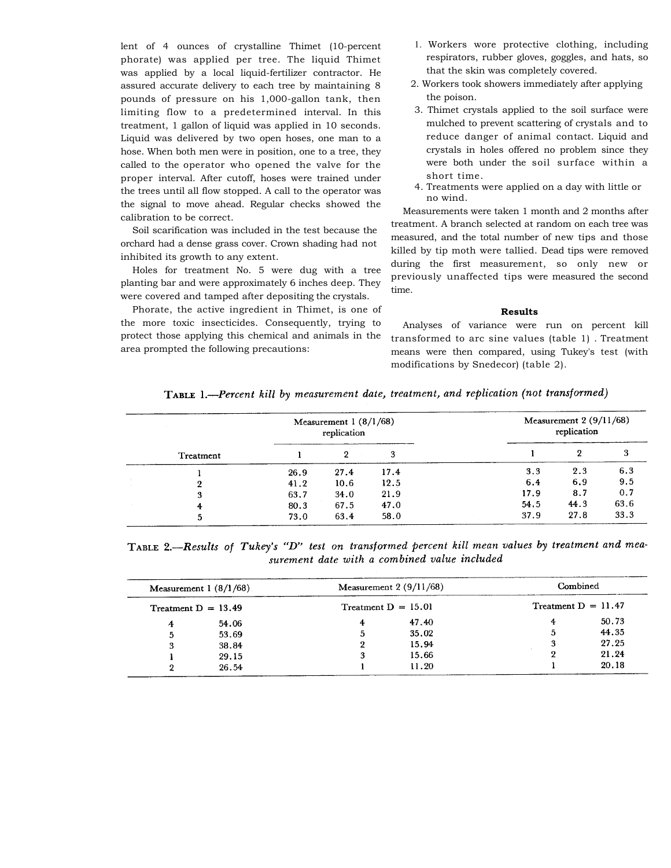lent of 4 ounces of crystalline Thimet (10-percent phorate) was applied per tree. The liquid Thimet was applied by a local liquid-fertilizer contractor. He assured accurate delivery to each tree by maintaining 8 pounds of pressure on his 1,000-gallon tank, then limiting flow to a predetermined interval. In this treatment, 1 gallon of liquid was applied in 10 seconds. Liquid was delivered by two open hoses, one man to a hose. When both men were in position, one to a tree, they called to the operator who opened the valve for the proper interval. After cutoff, hoses were trained under the trees until all flow stopped. A call to the operator was the signal to move ahead. Regular checks showed the calibration to be correct.

Soil scarification was included in the test because the orchard had a dense grass cover. Crown shading had not inhibited its growth to any extent.

Holes for treatment No. 5 were dug with a tree planting bar and were approximately 6 inches deep. They were covered and tamped after depositing the crystals.

Phorate, the active ingredient in Thimet, is one of the more toxic insecticides. Consequently, trying to protect those applying this chemical and animals in the area prompted the following precautions:

- 1. Workers wore protective clothing, including respirators, rubber gloves, goggles, and hats, so that the skin was completely covered.
- 2. Workers took showers immediately after applying the poison.
- 3. Thimet crystals applied to the soil surface were mulched to prevent scattering of crystals and to reduce danger of animal contact. Liquid and crystals in holes offered no problem since they were both under the soil surface within a short time.
- 4. Treatments were applied on a day with little or no wind.

Measurements were taken 1 month and 2 months after treatment. A branch selected at random on each tree was measured, and the total number of new tips and those killed by tip moth were tallied. Dead tips were removed during the first measurement, so only new or previously unaffected tips were measured the second time.

## **Results**

Analyses of variance were run on percent kill transformed to arc sine values (table 1) . Treatment means were then compared, using Tukey's test (with modifications by Snedecor) (table 2).

|  | Treatment | Measurement $1(8/1/68)$<br>replication |      |      | Measurement $2(9/11/68)$<br>replication |      |      |
|--|-----------|----------------------------------------|------|------|-----------------------------------------|------|------|
|  |           |                                        |      | 3    |                                         | ິ    |      |
|  |           | 26.9                                   | 27.4 | 17.4 | 3.3                                     | 2.3  | 6.3  |
|  |           | 41.2                                   | 10.6 | 12.5 | 6.4                                     | 6.9  | 9.5  |
|  | з         | 63.7                                   | 34.0 | 21.9 | 17.9                                    | 8.7  | 0.7  |
|  | 4         | 80.3                                   | 67.5 | 47.0 | 54.5                                    | 44.3 | 63.6 |
|  | 5         | 73.0                                   | 63.4 | 58.0 | 37.9                                    | 27.8 | 33.3 |

TABLE 2.-Results of Tukey's "D" test on transformed percent kill mean values by treatment and measurement date with a combined value included

| Measurement $1(8/1/68)$<br>Treatment $D = 13.49$ |       | Measurement $2(9/11/68)$<br>Treatment $D = 15.01$ |       | Combined              |       |
|--------------------------------------------------|-------|---------------------------------------------------|-------|-----------------------|-------|
|                                                  |       |                                                   |       | Treatment $D = 11.47$ |       |
| 4                                                | 54.06 | 4                                                 | 47.40 |                       | 50.73 |
| 5                                                | 53.69 | 5                                                 | 35.02 |                       | 44.35 |
| 3                                                | 38.84 | 9                                                 | 15.94 |                       | 27.25 |
|                                                  | 29.15 | 3                                                 | 15.66 |                       | 21.24 |
|                                                  | 26.54 |                                                   | 11.20 |                       | 20.18 |